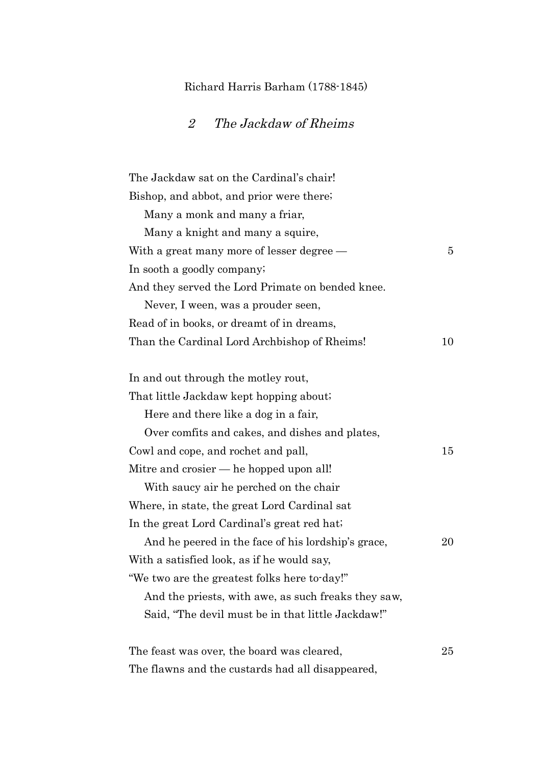## Richard Harris Barham (1788-1845)

## 2 The Jackdaw of Rheims

| The Jackdaw sat on the Cardinal's chair!            |        |
|-----------------------------------------------------|--------|
| Bishop, and abbot, and prior were there.            |        |
| Many a monk and many a friar,                       |        |
| Many a knight and many a squire,                    |        |
| With a great many more of lesser degree $-$         | 5      |
| In sooth a goodly company.                          |        |
| And they served the Lord Primate on bended knee.    |        |
| Never, I ween, was a prouder seen,                  |        |
| Read of in books, or dreamt of in dreams,           |        |
| Than the Cardinal Lord Archbishop of Rheims!        | 10     |
| In and out through the motley rout,                 |        |
| That little Jackdaw kept hopping about.             |        |
| Here and there like a dog in a fair,                |        |
| Over comfits and cakes, and dishes and plates,      |        |
| Cowl and cope, and rochet and pall,                 | 15     |
| Mitre and crosier — he hopped upon all!             |        |
| With saucy air he perched on the chair              |        |
| Where, in state, the great Lord Cardinal sat        |        |
| In the great Lord Cardinal's great red hat.         |        |
| And he peered in the face of his lordship's grace,  | $20\,$ |
| With a satisfied look, as if he would say,          |        |
| "We two are the greatest folks here to-day!"        |        |
| And the priests, with awe, as such freaks they saw, |        |
| Said, "The devil must be in that little Jackdaw!"   |        |
| The feast was over, the board was cleared,          | $25\,$ |
| The flawns and the custards had all disappeared,    |        |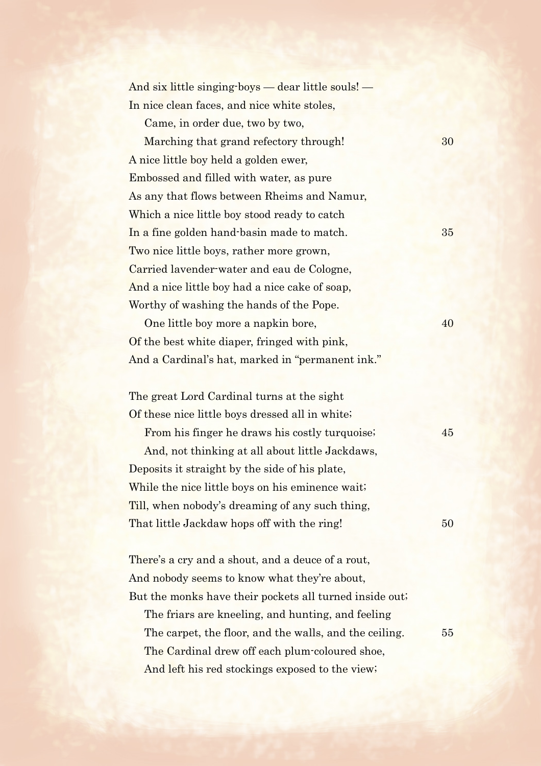| And six little singing boys — dear little souls! — |  |
|----------------------------------------------------|--|
| In nice clean faces, and nice white stoles,        |  |

Came, in order due, two by two,

Marching that grand refectory through! 30 A nice little boy held a golden ewer, Embossed and filled with water, as pure As any that flows between Rheims and Namur, Which a nice little boy stood ready to catch In a fine golden hand-basin made to match. 35 Two nice little boys, rather more grown, Carried lavender-water and eau de Cologne, And a nice little boy had a nice cake of soap, Worthy of washing the hands of the Pope.

One little boy more a napkin bore,  $40$ Of the best white diaper, fringed with pink, And a Cardinal's hat, marked in "permanent ink."

The great Lord Cardinal turns at the sight Of these nice little boys dressed all in white;

From his finger he draws his costly turquoise;  $45$ 

And, not thinking at all about little Jackdaws, Deposits it straight by the side of his plate, While the nice little boys on his eminence wait; Till, when nobody's dreaming of any such thing, That little Jackdaw hops off with the ring! 50

There's a cry and a shout, and a deuce of a rout, And nobody seems to know what they're about, But the monks have their pockets all turned inside out;

The friars are kneeling, and hunting, and feeling The carpet, the floor, and the walls, and the ceiling. 55 The Cardinal drew off each plum-coloured shoe, And left his red stockings exposed to the view;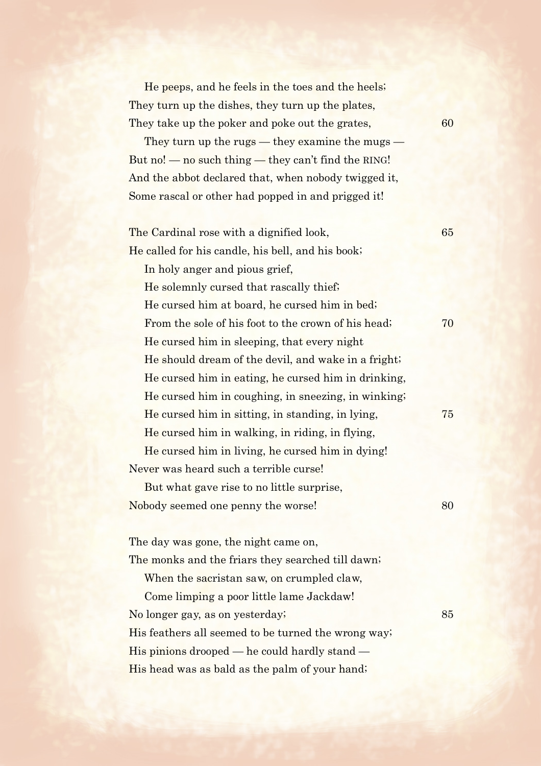He peeps, and he feels in the toes and the heels; They turn up the dishes, they turn up the plates, They take up the poker and poke out the grates, 60

They turn up the rugs — they examine the mugs — But no! — no such thing — they can't find the RING! And the abbot declared that, when nobody twigged it, Some rascal or other had popped in and prigged it!

The Cardinal rose with a dignified look, 65 He called for his candle, his bell, and his book; In holy anger and pious grief, He solemnly cursed that rascally thief; He cursed him at board, he cursed him in bed; From the sole of his foot to the crown of his head;  $\frac{70}{2}$ He cursed him in sleeping, that every night He should dream of the devil, and wake in a fright; He cursed him in eating, he cursed him in drinking, He cursed him in coughing, in sneezing, in winking; He cursed him in sitting, in standing, in lying, 75 He cursed him in walking, in riding, in flying, He cursed him in living, he cursed him in dying! Never was heard such a terrible curse! But what gave rise to no little surprise, Nobody seemed one penny the worse! 80

The day was gone, the night came on, The monks and the friars they searched till dawn;

When the sacristan saw, on crumpled claw,

Come limping a poor little lame Jackdaw! No longer gay, as on yesterday; 85 His feathers all seemed to be turned the wrong way; His pinions drooped — he could hardly stand — His head was as bald as the palm of your hand;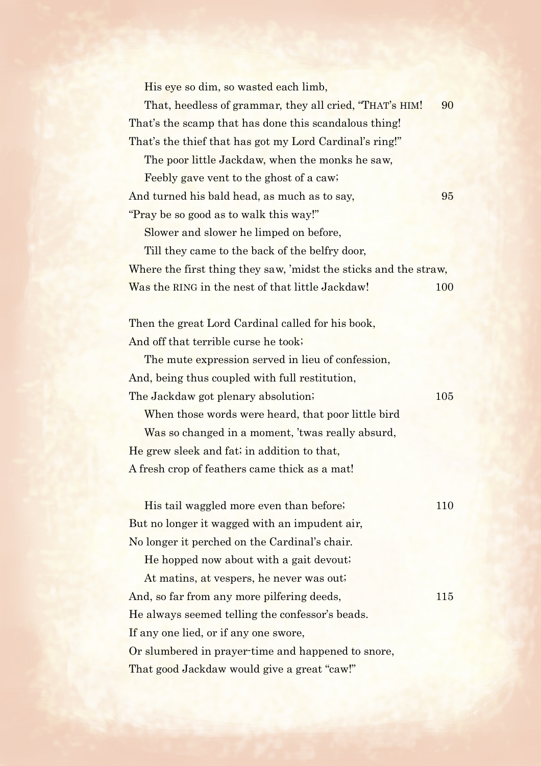His eye so dim, so wasted each limb,

That, heedless of grammar, they all cried, "THAT's HIM! 90 That's the scamp that has done this scandalous thing! That's the thief that has got my Lord Cardinal's ring!"

The poor little Jackdaw, when the monks he saw,

Feebly gave vent to the ghost of a caw; And turned his bald head, as much as to say, 195 "Pray be so good as to walk this way!"

Slower and slower he limped on before,

Till they came to the back of the belfry door,

Where the first thing they saw, 'midst the sticks and the straw, Was the RING in the nest of that little Jackdaw! 100

Then the great Lord Cardinal called for his book, And off that terrible curse he took;

The mute expression served in lieu of confession, And, being thus coupled with full restitution, The Jackdaw got plenary absolution; 105

When those words were heard, that poor little bird Was so changed in a moment, 'twas really absurd,

He grew sleek and fat; in addition to that, A fresh crop of feathers came thick as a mat!

His tail waggled more even than before; 110 But no longer it wagged with an impudent air, No longer it perched on the Cardinal's chair.

He hopped now about with a gait devout;

At matins, at vespers, he never was out; And, so far from any more pilfering deeds, 115 He always seemed telling the confessor's beads. If any one lied, or if any one swore, Or slumbered in prayer-time and happened to snore, That good Jackdaw would give a great "caw!"